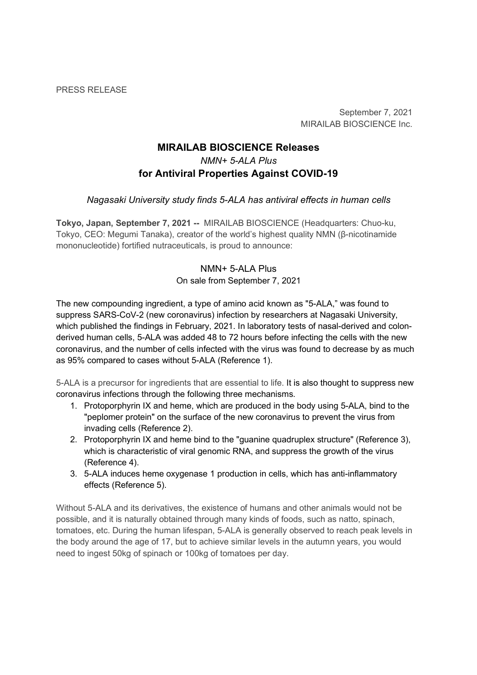PRESS RELEASE

September 7, 2021 MIRAILAB BIOSCIENCE Inc.

# MIRAILAB BIOSCIENCE Releases NMN+ 5-ALA Plus for Antiviral Properties Against COVID-19

# Nagasaki University study finds 5-ALA has antiviral effects in human cells

Tokyo, Japan, September 7, 2021 -- MIRAILAB BIOSCIENCE (Headquarters: Chuo-ku, Tokyo, CEO: Megumi Tanaka), creator of the world's highest quality NMN (β-nicotinamide mononucleotide) fortified nutraceuticals, is proud to announce:

# NMN+ 5-ALA Plus On sale from September 7, 2021

The new compounding ingredient, a type of amino acid known as "5-ALA," was found to suppress SARS-CoV-2 (new coronavirus) infection by researchers at Nagasaki University, which published the findings in February, 2021. In laboratory tests of nasal-derived and colonderived human cells, 5-ALA was added 48 to 72 hours before infecting the cells with the new coronavirus, and the number of cells infected with the virus was found to decrease by as much as 95% compared to cases without 5-ALA (Reference 1).

5-ALA is a precursor for ingredients that are essential to life. It is also thought to suppress new coronavirus infections through the following three mechanisms.

- 1. Protoporphyrin IX and heme, which are produced in the body using 5-ALA, bind to the "peplomer protein" on the surface of the new coronavirus to prevent the virus from invading cells (Reference 2).
- 2. Protoporphyrin IX and heme bind to the "guanine quadruplex structure" (Reference 3), which is characteristic of viral genomic RNA, and suppress the growth of the virus (Reference 4).
- 3. 5-ALA induces heme oxygenase 1 production in cells, which has anti-inflammatory effects (Reference 5).

Without 5-ALA and its derivatives, the existence of humans and other animals would not be possible, and it is naturally obtained through many kinds of foods, such as natto, spinach, tomatoes, etc. During the human lifespan, 5-ALA is generally observed to reach peak levels in the body around the age of 17, but to achieve similar levels in the autumn years, you would need to ingest 50kg of spinach or 100kg of tomatoes per day.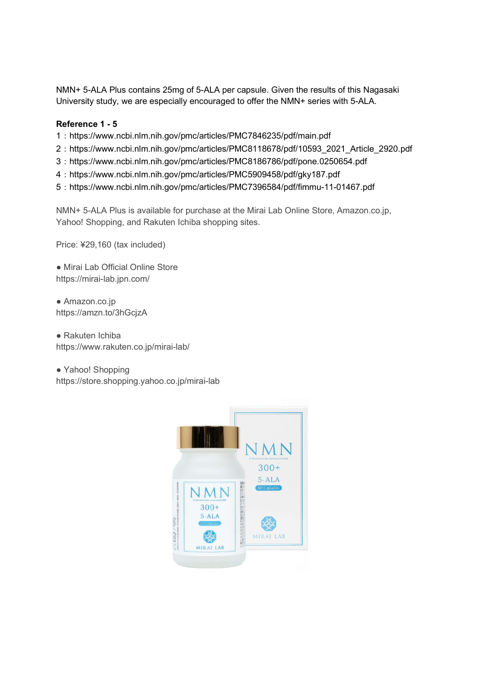NMN+ 5-ALA Plus contains 25mg of 5-ALA per capsule. Given the results of this Nagasaki University study, we are especially encouraged to offer the NMN+ series with 5-ALA.

## Reference 1 - 5

- 1:https://www.ncbi.nlm.nih.gov/pmc/articles/PMC7846235/pdf/main.pdf
- 2:https://www.ncbi.nlm.nih.gov/pmc/articles/PMC8118678/pdf/10593\_2021\_Article\_2920.pdf
- 3:https://www.ncbi.nlm.nih.gov/pmc/articles/PMC8186786/pdf/pone.0250654.pdf
- 4:https://www.ncbi.nlm.nih.gov/pmc/articles/PMC5909458/pdf/gky187.pdf
- 5:https://www.ncbi.nlm.nih.gov/pmc/articles/PMC7396584/pdf/fimmu-11-01467.pdf

NMN+ 5-ALA Plus is available for purchase at the Mirai Lab Online Store, Amazon.co.jp, Yahoo! Shopping, and Rakuten Ichiba shopping sites.

Price: ¥29,160 (tax included)

● Mirai Lab Official Online Store https://mirai-lab.jpn.com/

● Amazon.co.jp https://amzn.to/3hGcjzA

● Rakuten Ichiba https://www.rakuten.co.jp/mirai-lab/

● Yahoo! Shopping https://store.shopping.yahoo.co.jp/mirai-lab

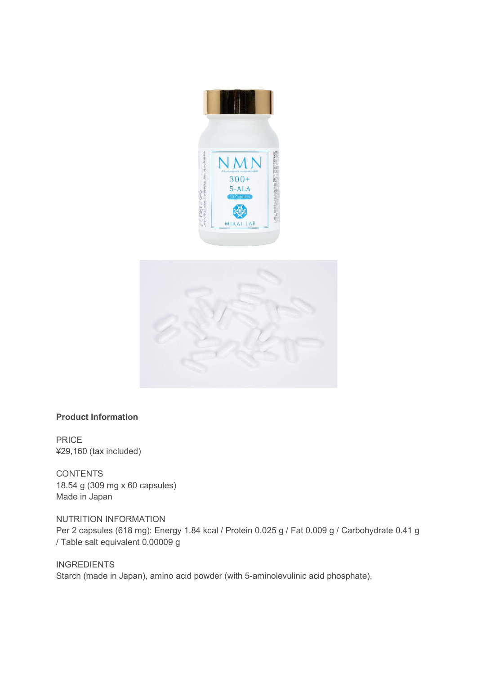



## Product Information

PRICE ¥29,160 (tax included)

**CONTENTS** 18.54 g (309 mg x 60 capsules) Made in Japan

NUTRITION INFORMATION Per 2 capsules (618 mg): Energy 1.84 kcal / Protein 0.025 g / Fat 0.009 g / Carbohydrate 0.41 g / Table salt equivalent 0.00009 g

**INGREDIENTS** Starch (made in Japan), amino acid powder (with 5-aminolevulinic acid phosphate),